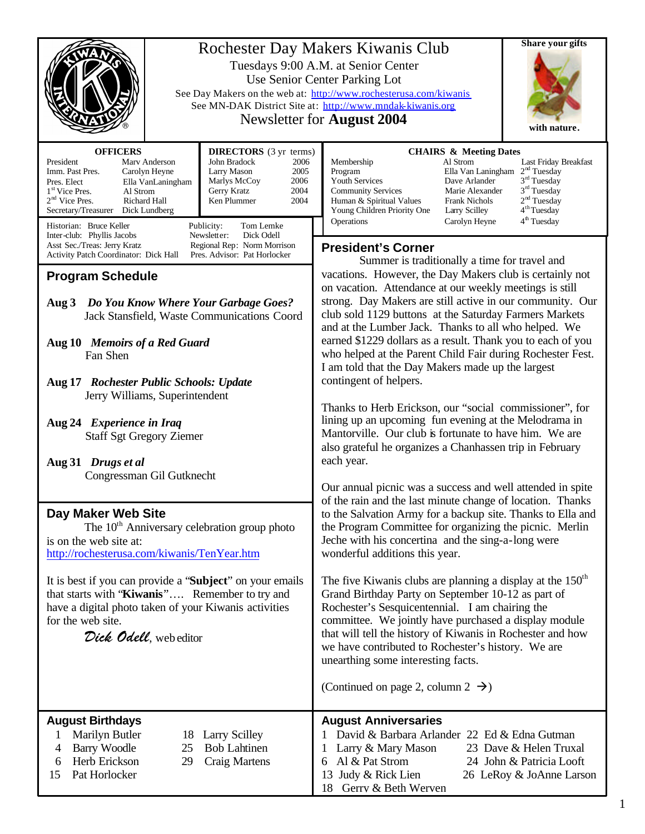|                                                                                                                                                                                                                                                                                                                                                                                                                                                                                                                                            | <b>Share your gifts</b><br>Rochester Day Makers Kiwanis Club<br>Tuesdays 9:00 A.M. at Senior Center<br>Use Senior Center Parking Lot<br>See Day Makers on the web at: http://www.rochesterusa.com/kiwanis<br>See MN-DAK District Site at: http://www.mndak-kiwanis.org<br>Newsletter for <b>August</b> 2004<br>with nature.                                                                                                                                                                                                                                                                                                                                                                                                                                                                                                                          |  |
|--------------------------------------------------------------------------------------------------------------------------------------------------------------------------------------------------------------------------------------------------------------------------------------------------------------------------------------------------------------------------------------------------------------------------------------------------------------------------------------------------------------------------------------------|------------------------------------------------------------------------------------------------------------------------------------------------------------------------------------------------------------------------------------------------------------------------------------------------------------------------------------------------------------------------------------------------------------------------------------------------------------------------------------------------------------------------------------------------------------------------------------------------------------------------------------------------------------------------------------------------------------------------------------------------------------------------------------------------------------------------------------------------------|--|
| <b>OFFICERS</b><br><b>DIRECTORS</b> (3 yr terms)<br>President<br>Marv Anderson<br>John Bradock<br>2006<br>Imm. Past Pres.<br>Larry Mason<br>2005<br>Carolyn Heyne<br>Marlys McCoy<br>2006<br>Pres. Elect<br>Ella VanLaningham<br>2004<br>Gerry Kratz<br>1 <sup>st</sup> Vice Pres.<br>Al Strom<br>$2nd$ Vice Pres.<br>Richard Hall<br>Ken Plummer<br>2004<br>Secretary/Treasurer Dick Lundberg<br>Publicity:<br>Historian: Bruce Keller<br>Tom Lemke                                                                                       | <b>CHAIRS &amp; Meeting Dates</b><br>Membership<br>Al Strom<br>Last Friday Breakfast<br>2 <sup>nd</sup> Tuesday<br>Program<br>Ella Van Laningham<br>3 <sup>rd</sup> Tuesday<br>Youth Services<br>Dave Arlander<br>$3rd$ Tuesday<br><b>Community Services</b><br>Marie Alexander<br>2 <sup>nd</sup> Tuesday<br><b>Frank Nichols</b><br>Human & Spiritual Values<br>4 <sup>th</sup> Tuesday<br>Young Children Priority One<br><b>Larry Scilley</b><br>4 <sup>th</sup> Tuesday<br>Operations<br>Carolyn Heyne                                                                                                                                                                                                                                                                                                                                           |  |
| Newsletter:<br>Dick Odell<br>Inter-club: Phyllis Jacobs<br>Asst Sec./Treas: Jerry Kratz<br>Regional Rep: Norm Morrison<br>Pres. Advisor: Pat Horlocker<br>Activity Patch Coordinator: Dick Hall<br><b>Program Schedule</b><br>Do You Know Where Your Garbage Goes?<br>Aug 3<br>Jack Stansfield, Waste Communications Coord<br>Aug 10 Memoirs of a Red Guard<br>Fan Shen<br>Aug 17 Rochester Public Schools: Update<br>Jerry Williams, Superintendent<br>Aug 24 Experience in Iraq<br><b>Staff Sgt Gregory Ziemer</b><br>Aug 31 Drugs et al | <b>President's Corner</b><br>Summer is traditionally a time for travel and<br>vacations. However, the Day Makers club is certainly not<br>on vacation. Attendance at our weekly meetings is still<br>strong. Day Makers are still active in our community. Our<br>club sold 1129 buttons at the Saturday Farmers Markets<br>and at the Lumber Jack. Thanks to all who helped. We<br>earned \$1229 dollars as a result. Thank you to each of you<br>who helped at the Parent Child Fair during Rochester Fest.<br>I am told that the Day Makers made up the largest<br>contingent of helpers.<br>Thanks to Herb Erickson, our "social commissioner", for<br>lining up an upcoming fun evening at the Melodrama in<br>Mantorville. Our club is fortunate to have him. We are<br>also grateful he organizes a Chanhassen trip in February<br>each year. |  |
| Congressman Gil Gutknecht<br>Day Maker Web Site<br>The $10th$ Anniversary celebration group photo<br>is on the web site at:<br>http://rochesterusa.com/kiwanis/TenYear.htm<br>It is best if you can provide a "Subject" on your emails<br>that starts with "Kiwanis" Remember to try and<br>have a digital photo taken of your Kiwanis activities<br>for the web site.<br>Dick Odell, web editor                                                                                                                                           | Our annual picnic was a success and well attended in spite<br>of the rain and the last minute change of location. Thanks<br>to the Salvation Army for a backup site. Thanks to Ella and<br>the Program Committee for organizing the picnic. Merlin<br>Jeche with his concertina and the sing-a-long were<br>wonderful additions this year.<br>The five Kiwanis clubs are planning a display at the $150th$<br>Grand Birthday Party on September 10-12 as part of<br>Rochester's Sesquicentennial. I am chairing the<br>committee. We jointly have purchased a display module<br>that will tell the history of Kiwanis in Rochester and how<br>we have contributed to Rochester's history. We are<br>unearthing some interesting facts.<br>(Continued on page 2, column $2 \rightarrow$ )                                                             |  |
| <b>August Birthdays</b><br>Marilyn Butler<br>18<br><b>Larry Scilley</b><br>1<br><b>Bob Lahtinen</b><br>Barry Woodle<br>25<br>4<br>Herb Erickson<br>Craig Martens<br>29<br>6<br>Pat Horlocker<br>15                                                                                                                                                                                                                                                                                                                                         | <b>August Anniversaries</b><br>1 David & Barbara Arlander 22 Ed & Edna Gutman<br>23 Dave & Helen Truxal<br>Larry & Mary Mason<br>Al & Pat Strom<br>24 John & Patricia Looft<br>6<br>Judy & Rick Lien<br>26 LeRoy & JoAnne Larson<br>13<br>Gerry & Beth Werven<br>18                                                                                                                                                                                                                                                                                                                                                                                                                                                                                                                                                                                  |  |